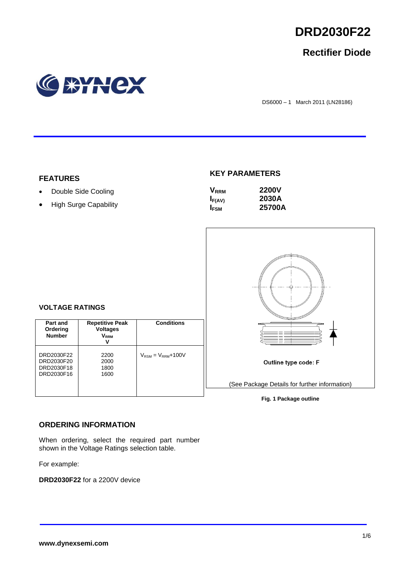

## **Rectifier Diode**



DS6000 – 1 March 2011 (LN28186)

### **FEATURES**

- Double Side Cooling
- High Surge Capability

### **KEY PARAMETERS**

| <b>V</b> <sub>RRM</sub> | <b>2200V</b> |
|-------------------------|--------------|
| $I_{F(AV)}$             | 2030A        |
| <b>IFSM</b>             | 25700A       |



**Fig. 1 Package outline**

### **VOLTAGE RATINGS**

| Part and<br>Ordering<br><b>Number</b>                | <b>Repetitive Peak</b><br><b>Voltages</b><br>$\mathsf{V}_\mathsf{RRM}$<br>ν | <b>Conditions</b>          |
|------------------------------------------------------|-----------------------------------------------------------------------------|----------------------------|
| DRD2030F22<br>DRD2030F20<br>DRD2030F18<br>DRD2030F16 | 2200<br>2000<br>1800<br>1600                                                | $V_{RSM} = V_{RRM} + 100V$ |

### **ORDERING INFORMATION**

When ordering, select the required part number shown in the Voltage Ratings selection table.

For example:

**DRD2030F22** for a 2200V device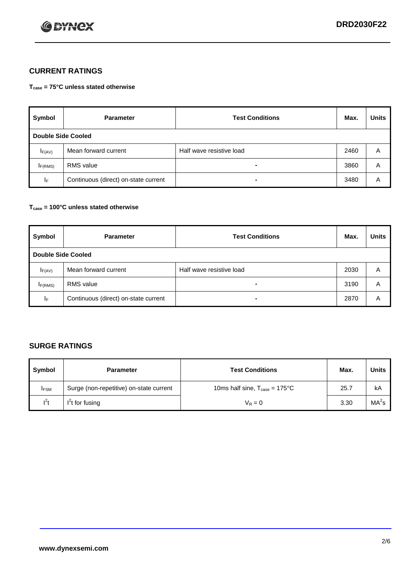

## **CURRENT RATINGS**

**Tcase = 75°C unless stated otherwise**

| Symbol             | <b>Parameter</b>                     | <b>Test Conditions</b>   | Max. | <b>Units</b> |  |
|--------------------|--------------------------------------|--------------------------|------|--------------|--|
| Double Side Cooled |                                      |                          |      |              |  |
| $I_{F(AV)}$        | Mean forward current                 | Half wave resistive load | 2460 | A            |  |
| IF(RMS)            | <b>RMS</b> value                     | $\blacksquare$           | 3860 | A            |  |
| IF.                | Continuous (direct) on-state current | -                        | 3480 | Α            |  |

### **Tcase = 100°C unless stated otherwise**

| Symbol              | <b>Parameter</b>                     | <b>Test Conditions</b>   | Max. | <b>Units</b> |  |  |
|---------------------|--------------------------------------|--------------------------|------|--------------|--|--|
|                     | <b>Double Side Cooled</b>            |                          |      |              |  |  |
| $I_{F(AV)}$         | Mean forward current                 | Half wave resistive load | 2030 | Α            |  |  |
| I <sub>F(RMS)</sub> | <b>RMS</b> value                     | $\overline{\phantom{0}}$ | 3190 | A            |  |  |
| IF                  | Continuous (direct) on-state current |                          | 2870 | A            |  |  |

## **SURGE RATINGS**

| Symbol      | <b>Parameter</b>                        | <b>Test Conditions</b>                            | Max. | <b>Units</b>      |
|-------------|-----------------------------------------|---------------------------------------------------|------|-------------------|
| <b>IFSM</b> | Surge (non-repetitive) on-state current | 10ms half sine, $T_{\text{case}} = 175^{\circ}$ C | 25.7 | kA                |
| $l^2t$      | I <sup>'</sup> t for fusing             | $V_R = 0$                                         | 3.30 | MA <sup>2</sup> s |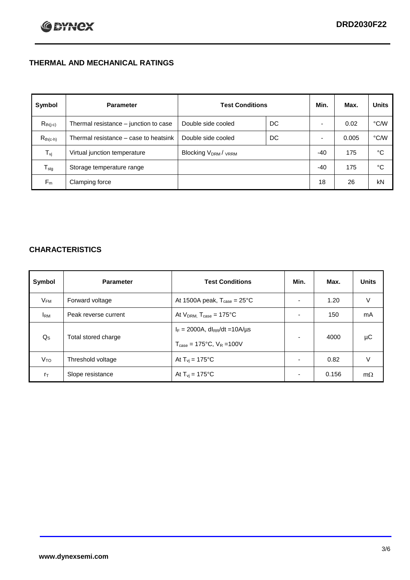## **THERMAL AND MECHANICAL RATINGS**

| Symbol           | <b>Parameter</b>                      | <b>Test Conditions</b>                      |    | Min. | Max.  | <b>Units</b> |
|------------------|---------------------------------------|---------------------------------------------|----|------|-------|--------------|
| $R_{th(j-c)}$    | Thermal resistance – junction to case | Double side cooled                          | DC |      | 0.02  | °C/W         |
| $R_{th(c-h)}$    | Thermal resistance – case to heatsink | Double side cooled                          | DC |      | 0.005 | °C/W         |
| $T_{\rm vj}$     | Virtual junction temperature          | Blocking V <sub>DRM</sub> / <sub>VRRM</sub> |    | -40  | 175   | °C           |
| $T_{\text{stg}}$ | Storage temperature range             |                                             |    | -40  | 175   | °C           |
| $F_m$            | Clamping force                        |                                             |    | 18   | 26    | kN           |

### **CHARACTERISTICS**

| Symbol                 | <b>Parameter</b>     | <b>Test Conditions</b>                                                                           | Min.                     | Max.  | <b>Units</b> |
|------------------------|----------------------|--------------------------------------------------------------------------------------------------|--------------------------|-------|--------------|
| $V_{FM}$               | Forward voltage      | At 1500A peak, $T_{\text{case}} = 25^{\circ}C$                                                   |                          | 1.20  | V            |
| <b>I</b> <sub>RM</sub> | Peak reverse current | At $V_{DRM}$ , $T_{case} = 175^{\circ}C$                                                         |                          | 150   | mA           |
| $Q_{S}$                | Total stored charge  | $I_F = 2000A$ , dl <sub>RR</sub> /dt = 10A/us<br>$T_{\text{case}} = 175^{\circ}C$ , $V_R = 100V$ |                          | 4000  | μC           |
| V <sub>TO</sub>        | Threshold voltage    | At $T_{vi} = 175^{\circ}C$                                                                       | $\blacksquare$           | 0.82  | V            |
| $r_{\text{T}}$         | Slope resistance     | At $T_{vi}$ = 175°C                                                                              | $\overline{\phantom{0}}$ | 0.156 | $m\Omega$    |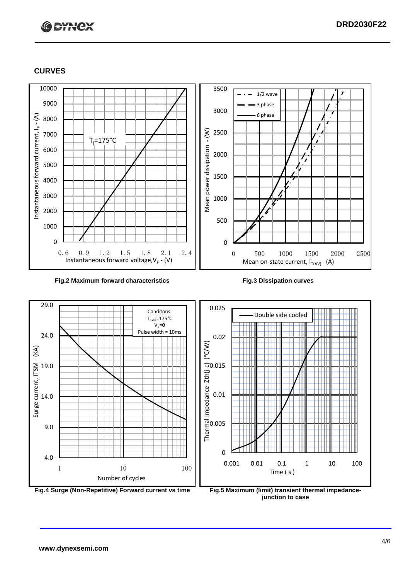# **C BYNCX**

### **CURVES**



### **Fig.2 Maximum forward characteristics Fig.3 Dissipation curves**



**junction to case**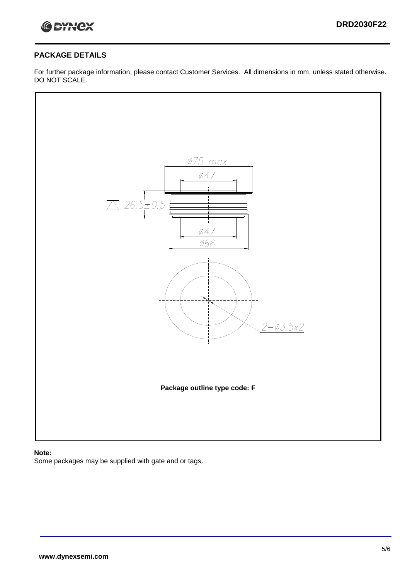

### **PACKAGE DETAILS**

For further package information, please contact Customer Services. All dimensions in mm, unless stated otherwise. DO NOT SCALE.



### **Note:**

Some packages may be supplied with gate and or tags.